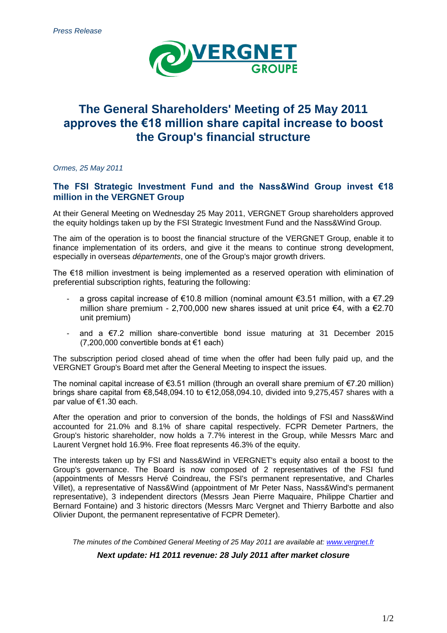

# **The General Shareholders' Meeting of 25 May 2011 approves the €18 million share capital increase to boost the Group's financial structure**

*Ormes, 25 May 2011*

### **The FSI Strategic Investment Fund and the Nass&Wind Group invest €18 million in the VERGNET Group**

At their General Meeting on Wednesday 25 May 2011, VERGNET Group shareholders approved the equity holdings taken up by the FSI Strategic Investment Fund and the Nass&Wind Group.

The aim of the operation is to boost the financial structure of the VERGNET Group, enable it to finance implementation of its orders, and give it the means to continue strong development, especially in overseas *départements*, one of the Group's major growth drivers.

The €18 million investment is being implemented as a reserved operation with elimination of preferential subscription rights, featuring the following:

- a gross capital increase of  $\epsilon$ 10.8 million (nominal amount  $\epsilon$ 3.51 million, with a  $\epsilon$ 7.29 million share premium - 2,700,000 new shares issued at unit price €4, with a €2.70 unit premium)
- and a  $\epsilon$ 7.2 million share-convertible bond issue maturing at 31 December 2015 (7,200,000 convertible bonds at €1 each)

The subscription period closed ahead of time when the offer had been fully paid up, and the VERGNET Group's Board met after the General Meeting to inspect the issues.

The nominal capital increase of  $\epsilon$ 3.51 million (through an overall share premium of  $\epsilon$ 7.20 million) brings share capital from  $\epsilon$ 8,548,094,10 to  $\epsilon$ 12,058,094,10, divided into 9,275,457 shares with a par value of €1.30 each.

After the operation and prior to conversion of the bonds, the holdings of FSI and Nass&Wind accounted for 21.0% and 8.1% of share capital respectively. FCPR Demeter Partners, the Group's historic shareholder, now holds a 7.7% interest in the Group, while Messrs Marc and Laurent Vergnet hold 16.9%. Free float represents 46.3% of the equity.

The interests taken up by FSI and Nass&Wind in VERGNET's equity also entail a boost to the Group's governance. The Board is now composed of 2 representatives of the FSI fund (appointments of Messrs Hervé Coindreau, the FSI's permanent representative, and Charles Villet), a representative of Nass&Wind (appointment of Mr Peter Nass, Nass&Wind's permanent representative), 3 independent directors (Messrs Jean Pierre Maquaire, Philippe Chartier and Bernard Fontaine) and 3 historic directors (Messrs Marc Vergnet and Thierry Barbotte and also Olivier Dupont, the permanent representative of FCPR Demeter).

*The minutes of the Combined General Meeting of 25 May 2011 are available at: [www.vergnet.fr](http://www.vergnet.fr/) Next update: H1 2011 revenue: 28 July 2011 after market closure*